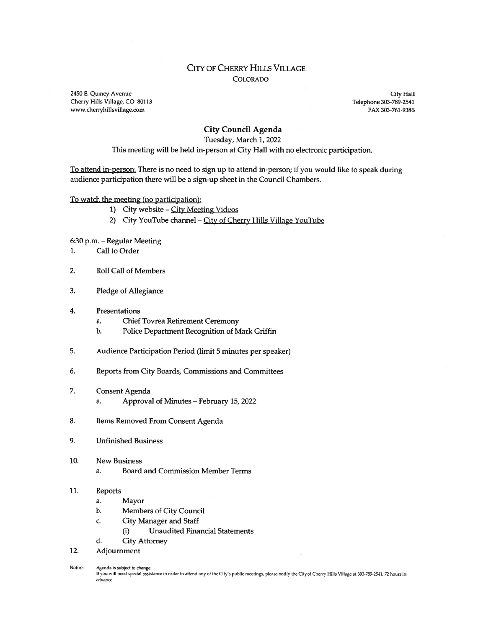#### CITY OF CHERRY HILLS VILLAGE COLORADO

2450 E. Quincy Avenue City Hall Cherry Hills Village, CO 80113 Telephone 303-789-2541 www.cherryhillsvillage.com FAX 303-761-9386

#### City Council Agenda

#### Tuesday, March 1, 2022

This meeting will be held in-person at City Hall with no electronic participation.

To attend in-person: There is no need to sign up to attend in-person; if you would like to speak during audience participation there will be <sup>a</sup> sign-up sheet in the Council Chambers.

To watch the meeting (no participation):

- 1) City website City Meeting Videos
- 2) City YouTube channel City of Cherry Hills Village YouTube

6:30 p.m. — Regular Meeting

- 1. Call to Order
- 2. Roll Call of Members
- 3. Pledge of Allegiance
- 4. Presentations
	- a. Chief Tovrea Retirement Ceremony
	- b. Police Department Recognition of Mark Griffin
- 5. Audience Participation Period (limit 5 minutes per speaker)
- 6. Reports from City Boards, Commissions and Committees
- 7. Consent Agenda a. Approval of Minutes — February 15, 2022
- 8. Items Removed From Consent Agenda
- 9. Unfinished Business
- 10. New Business
	- a. Board and Commission Member Terms
- 11. Reports
	- a. Mayor
	- b. Members of City Council
	- c. City Manager and Staff
		- (i) Unaudited Financial Statements
	- d. City Attorney
- 12. Adjournment

Notice: Agenda is subject to change.<br>If you will need special assistance in order to attend any of the City's public meetings, please notify the City of Cherry Hills Village at 303-789-2541, 72 hours in advance.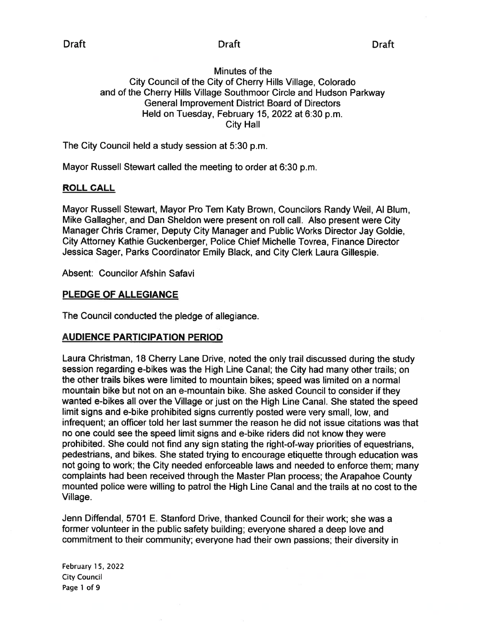## Minutes of the City Council of the City of Cherry Hills Village, Colorado and of the Cherry Hills Village Southmoor Circle and Hudson Parkway General Improvement District Board of Directors Held on Tuesday, February 15, 2022 at 6:30 p.m. City Hall

The City Council held <sup>a</sup> study session at 5:30 p.m.

Mayor Russell Stewart called the meeting to order at 6:30 p.m.

## ROLL CALL

Mayor Russell Stewart, Mayor Pro Tem Katy Brown, Councilors Randy Weil, Al Blum, Mike Gallagher, and Dan Sheldon were presen<sup>t</sup> on roll call. Also presen<sup>t</sup> were City Manager Chris Cramer, Deputy City Manager and Public Works Director Jay Goldie, City Attorney Kathie Guckenberger, Police Chief Michelle Tovrea, Finance Director Jessica Sager, Parks Coordinator Emily Black, and City Clerk Laura Gillespie.

Absent: Councilor Afshin Safavi

## PLEDGE OF ALLEGIANCE

The Council conducted the pledge of allegiance.

## AUDIENCE PARTICIPATION PERIOD

Laura Christman, 18 Cherry Lane Drive, noted the only trail discussed during the study session regarding e-bikes was the High Line Canal; the City had many other trails; on the other trails bikes were limited to mountain bikes; speed was limited on <sup>a</sup> normal mountain bike but not on an e-mountain bike. She asked Council to consider if they wanted e-bikes all over the Village or just on the High Line Canal. She stated the speed limit signs and e-bike prohibited signs currently posted were very small, low, and infrequent; an officer told her last summer the reason he did not issue citations was that no one could see the speed limit signs and e-bike riders did not know they were prohibited. She could not find any sign stating the right-of-way priorities of equestrians, pedestrians, and bikes. She stated trying to encourage etiquette through education was not going to work; the City needed enforceable laws and needed to enforce them; many complaints had been received through the Master Plan process; the Arapahoe County mounted police were willing to patrol the High Line Canal and the trails at no cost to the Village.

Jenn Diffendal, 5701 E. Stanford Drive, thanked Council for their work; she was <sup>a</sup> former volunteer in the public safety building; everyone shared <sup>a</sup> deep love and commitment to their community; everyone had their own passions; their diversity in

February 15, 2022 City Council Page 1 of 9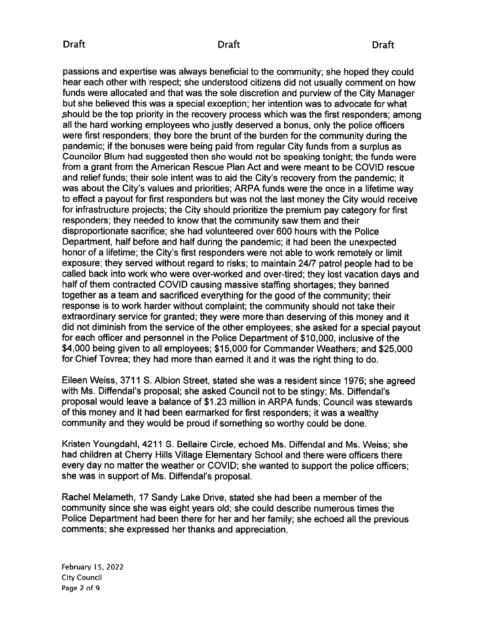## Draft Draft Draft

passions and expertise was always beneficial to the community; she hoped they could hear each other with respect; she understood citizens did not usually comment on how funds were allocated and that was the sole discretion and purview of the City Manager but she believed this was <sup>a</sup> special exception; her intention was to advocate for what should be the top priority in the recovery process which was the first responders; among all the hard working employees who justly deserved <sup>a</sup> bonus, only the police officers were first responders; they bore the brunt of the burden for the community during the pandemic; if the bonuses were being paid from regular City funds from <sup>a</sup> surplus as Councilor Blum had suggested then she would not be speaking tonight; the funds were from <sup>a</sup> gran<sup>t</sup> from the American Rescue Plan Act and were meant to be COVID rescue and relief funds; their sole intent was to aid the City's recovery from the pandemic; it was about the City's values and priorities; ARPA funds were the once in <sup>a</sup> lifetime way to effect <sup>a</sup> payou<sup>t</sup> for first responders but was not the last money the City would receive for infrastructure projects; the City should prioritize the premium pay category for first responders; they needed to know that the community saw them and their disproportionate sacrifice; she had volunteered over 600 hours with the Police Department, half before and half during the pandemic; it had been the unexpected honor of <sup>a</sup> lifetime; the City's first responders were not able to work remotely or limit exposure; they served without regard to risks; to maintain 24/7 patrol people had to be called back into work who were over-worked and over-tired; they lost vacation days and half of them contracted COVID causing massive staffing shortages; they banned together as <sup>a</sup> team and sacrificed everything for the good of the community; their response is to work harder without complaint; the community should not take their extraordinary service for granted; they were more than deserving of this money and it did not diminish from the service of the other employees; she asked for <sup>a</sup> special payou<sup>t</sup> for each officer and personnel in the Police Department of \$10,000, inclusive of the \$4,000 being given to all employees; \$15,000 for Commander Weathers; and \$25,000 for Chief Tovrea; they had more than earned it and it was the right thing to do.

Eileen Weiss, <sup>3711</sup> S. Albion Street, stated she was <sup>a</sup> resident since 1976; she agreed with Ms. Diffendal's proposal; she asked Council not to be stingy; Ms. Diffendal's proposal would leave <sup>a</sup> balance of \$1 .23 million in ARPA funds; Council was stewards of this money and it had been earmarked for first responders; it was <sup>a</sup> wealthy community and they would be proud if something so worthy could be done.

Kristen Youngdahl, 4211 S. Bellaire Circle, echoed Ms. Diffendal and Ms. Weiss; she had children at Cherry Hills Village Elementary School and there were officers there every day no matter the weather or COVID; she wanted to suppor<sup>t</sup> the police officers; she was in suppor<sup>t</sup> of Ms. Diffendal's proposal.

Rachel Melameth, 17 Sandy Lake Drive, stated she had been <sup>a</sup> member of the community since she was eight years old; she could describe numerous times the Police Department had been there for her and her family; she echoed all the previous comments; she expressed her thanks and appreciation.

February 15, 2022 City Council Page 2 of 9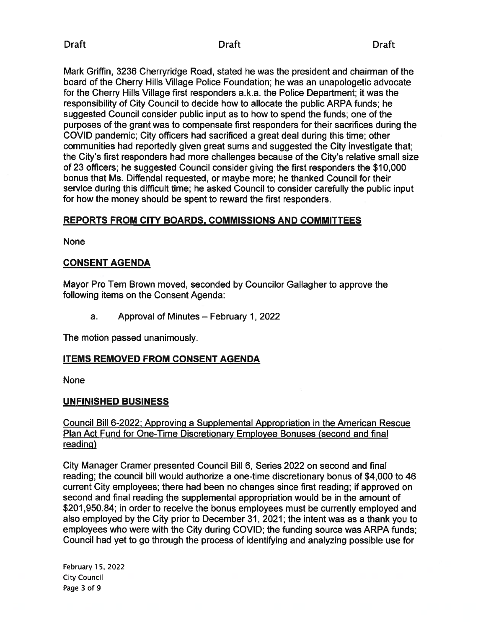Mark Griffin, 3236 Cherryridge Road, stated he was the president and chairman of the board of the Cherry Hills Village Police Foundation; he was an unapologetic advocate for the Cherry Hills Village first responders a.k.a. the Police Department; it was the responsibility of City Council to decide how to allocate the public ARPA funds; he suggested Council consider public input as to how to spend the funds; one of the purposes of the gran<sup>t</sup> was to compensate first responders for their sacrifices during the COVID pandemic; City officers had sacrificed <sup>a</sup> grea<sup>t</sup> deal during this time; other communities had reportedly given grea<sup>t</sup> sums and suggested the City investigate that; the City's first responders had more challenges because of the City's relative small size of 23 officers; he suggested Council consider giving the first responders the \$10,000 bonus that Ms. Diffendal requested, or maybe more; he thanked Council for their service during this difficult time; he asked Council to consider carefully the public input for how the money should be spen<sup>t</sup> to reward the first responders.

## REPORTS FROM CITY BOARDS, COMMISSIONS AND COMMITTEES

None

## CONSENT AGENDA

Mayor Pro Tern Brown moved, seconded by Councilor Gallagher to approve the following items on the Consent Agenda:

a. Approval of Minutes — February 1, 2022

The motion passed unanimously.

## ITEMS REMOVED FROM CONSENT AGENDA

None

## UNFINISHED BUSINESS

## Council Bill 6-2022; Approving <sup>a</sup> Supplemental Appropriation in the American Rescue Plan Act Fund for One-Time Discretionary Employee Bonuses (second and final reading)

City Manager Cramer presented Council Bill 6, Series 2022 on second and final reading; the council bill would authorize <sup>a</sup> one-time discretionary bonus of \$4,000 to 46 current City employees; there had been no changes since first reading; if approved on second and final reading the supplemental appropriation would be in the amount of \$201,950.84; in order to receive the bonus employees must be currently employed and also employed by the City prior to December 31, 2021; the intent was as <sup>a</sup> thank you to employees who were with the City during COVID; the funding source was ARPA funds; Council had ye<sup>t</sup> to go through the process of identifying and analyzing possible use for

February 15, 2022 City Council Page 3 of 9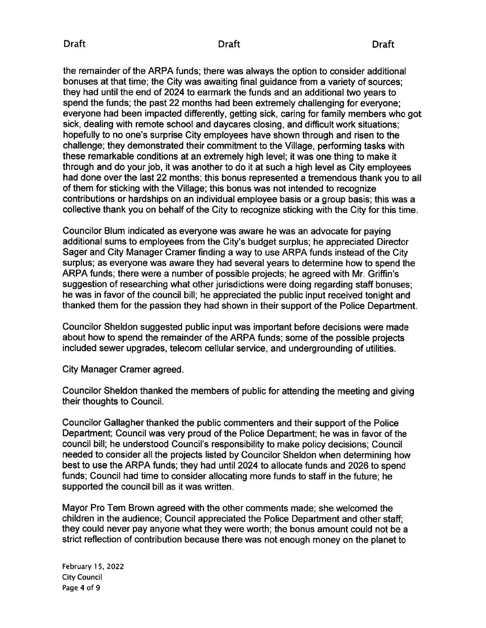#### Draft Draft Draft

the remainder of the ARPA funds; there was always the option to consider additional bonuses at that time; the City was awaiting final guidance from <sup>a</sup> variety of sources; they had until the end of 2024 to earmark the funds and an additional two years to spend the funds; the pas<sup>t</sup> 22 months had been extremely challenging for everyone; everyone had been impacted differently, getting sick, caring for family members who go<sup>t</sup> sick, dealing with remote school and daycares closing, and difficult work situations; hopefully to no one's surprise City employees have shown through and risen to the challenge; they demonstrated their commitment to the Village, performing tasks with these remarkable conditions at an extremely high level; it was one thing to make it through and do your job, it was another to do it at such <sup>a</sup> high level as City employees had done over the last <sup>22</sup> months; this bonus represented <sup>a</sup> tremendous thank you to all of them for sticking with the Village; this bonus was not intended to recognize contributions or hardships on an individual employee basis or <sup>a</sup> group basis; this was <sup>a</sup> collective thank you on behalf of the City to recognize sticking with the City for this time.

Councilor Blum indicated as everyone was aware he was an advocate for paying additional sums to employees from the City's budget surplus; he appreciated Director Sager and City Manager Cramer finding <sup>a</sup> way to use ARPA funds instead of the City surplus; as everyone was aware they had several years to determine how to spend the ARPA funds; there were <sup>a</sup> number of possible projects; he agreed with Mr. Griffin's suggestion of researching what other jurisdictions were doing regarding staff bonuses; he was in favor of the council bill; he appreciated the public input received tonight and thanked them for the passion they had shown in their suppor<sup>t</sup> of the Police Department.

Councilor Sheldon suggested public input was important before decisions were made about how to spend the remainder of the ARPA funds; some of the possible projects included sewer upgrades, telecom cellular service, and undergrounding of utilities.

City Manager Cramer agreed.

Councilor Sheldon thanked the members of public for attending the meeting and <sup>g</sup>iving their thoughts to Council.

Councilor Gallagher thanked the public commenters and their suppor<sup>t</sup> of the Police Department; Council was very proud of the Police Department; he was in favor of the council bill; he understood Council's responsibility to make policy decisions; Council needed to consider all the projects listed by Councilor Sheldon when determining how best to use the ARPA funds; they had until 2024 to allocate funds and 2026 to spend funds; Council had time to consider allocating more funds to staff in the future; he supported the council bill as it was written.

Mayor Pro Tem Brown agreed with the other comments made; she welcomed the children in the audience; Council appreciated the Police Department and other staff; they could never pay anyone what they were worth; the bonus amount could not be <sup>a</sup> strict reflection of contribution because there was not enoug<sup>h</sup> money on the <sup>p</sup>lanet to

February 1 5, 2022 City Council Page 4 of 9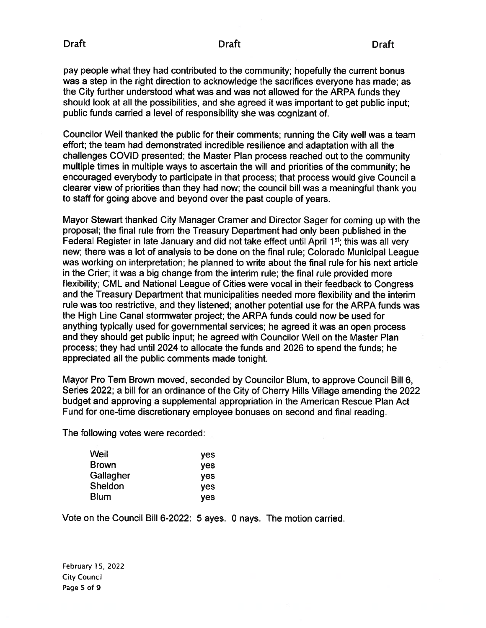pay people what they had contributed to the community; hopefully the current bonus was <sup>a</sup> step in the right direction to acknowledge the sacrifices everyone has made; as the City further understood what was and was not allowed for the ARPA funds they should look at all the possibilities, and she agreed it was important to ge<sup>t</sup> public input; public funds carried <sup>a</sup> level of responsibility she was cognizant of.

Councilor Weil thanked the public for their comments; running the City well was <sup>a</sup> team effort; the team had demonstrated incredible resilience and adaptation with all the challenges COVID presented; the Master Plan process reached out to the community multiple times in multiple ways to ascertain the will and priorities of the community; he encouraged everybody to participate in that process; that process would give Council <sup>a</sup> clearer view of priorities than they had now; the council bill was <sup>a</sup> meaningful thank you to staff for going above and beyond over the pas<sup>t</sup> couple of years.

Mayor Stewart thanked City Manager Cramer and Director Sager for coming up with the proposal; the final rule from the Treasury Department had only been published in the Federal Register in late January and did not take effect until April 1<sup>st</sup>; this was all very new; there was <sup>a</sup> lot of analysis to be done on the final rule; Colorado Municipal League was working on interpretation; he planned to write about the final rule for his next article in the Crier; it was <sup>a</sup> big change from the interim rule; the final rule provided more flexibility; CML and National League of Cities were vocal in their feedback to Congress and the Treasury Department that municipalities needed more flexibility and the interim rule was too restrictive, and they listened; another potential use for the ARPA funds was the High Line Canal stormwater project; the ARPA funds could now be used for anything typically used for governmental services; he agreed it was an open process and they should ge<sup>t</sup> public input; he agreed with Councilor Weil on the Master Plan process; they had until 2024 to allocate the funds and 2026 to spend the funds; he appreciated all the public comments made tonight.

Mayor Pro Tem Brown moved, seconded by Councilor Blum, to approve Council Bill 6, Series 2022; <sup>a</sup> bill for an ordinance of the City of Cherry Hills Village amending the 2022 budget and approving <sup>a</sup> supplemental appropriation in the American Rescue Plan Act Fund for one-time discretionary employee bonuses on second and final reading.

The following votes were recorded:

| Weil      | <b>yes</b> |
|-----------|------------|
| Brown     | <b>yes</b> |
| Gallagher | <b>yes</b> |
| Sheldon   | <b>yes</b> |
| Blum      | <b>ves</b> |

Vote on the Council Bill 6-2022: 5 ayes. 0 nays. The motion carried.

February 15, 2022 City Council Page 5 of 9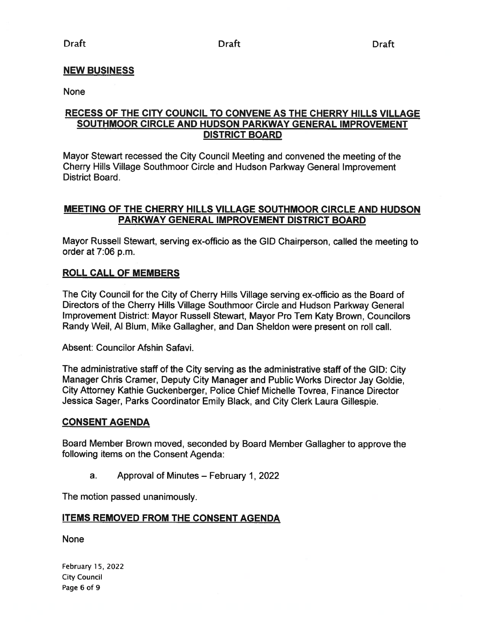## NEW BUSINESS

None

## RECESS OF THE CITY COUNCIL TO CONVENE AS THE CHERRY HILLS VILLAGE SOUTHMOOR CIRCLE AND HUDSON PARKWAY GENERAL IMPROVEMENT DISTRICT BOARD

Mayor Stewart recessed the City Council Meeting and convened the meeting of the Cherry Hills Village Southmoor Circle and Hudson Parkway General Improvement District Board.

## MEETING OF THE CHERRY HILLS VILLAGE SOUTHMOOR CIRCLE AND HUDSON PARKWAY GENERAL IMPROVEMENT DISTRICT BOARD

Mayor Russell Stewart, serving ex-officio as the GID Chairperson, called the meeting to order at 7:06 p.m.

#### ROLL CALL OF MEMBERS

The City Council for the City of Cherry Hills Village serving ox-officio as the Board of Directors of the Cherry Hills Village Southmoor Circle and Hudson Parkway General Improvement District: Mayor Russell Stewart, Mayor Pro Tern Katy Brown, Councilors Randy Weil, Al Blum, Mike Gallagher, and Dan Sheldon were presen<sup>t</sup> on roll call.

Absent: Councilor Afshin Safavi.

The administrative staff of the City serving as the administrative staff of the GID: City Manager Chris Cramer, Deputy City Manager and Public Works Director Jay Goldie, City Attorney Kathie Guckenberger, Police Chief Michelle Tovrea, Finance Director Jessica Sager, Parks Coordinator Emily Black, and City Clerk Laura Gillespie.

#### CONSENT AGENDA

Board Member Brown moved, seconded by Board Member Gallagher to approve the following items on the Consent Agenda:

a. Approval of Minutes — February 1, 2022

The motion passed unanimously.

#### ITEMS REMOVED FROM THE CONSENT AGENDA

None

February 15, 2022 **City Council** Page 6 of 9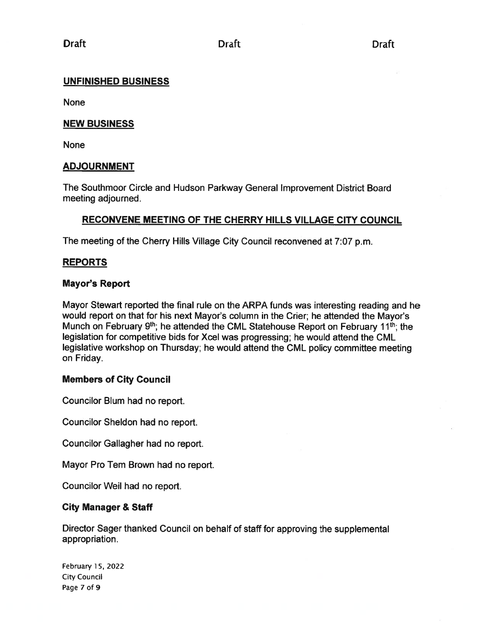## UNFINISHED BUSINESS

None

## NEW BUSINESS

None

## ADJOURNMENT

The Southmoor Circle and Hudson Parkway General Improvement District Board meeting adjourned.

## RECONVENE MEETING OF THE CHERRY HILLS VILLAGE CITY COUNCIL

The meeting of the Cherry Hills Village City Council reconvened at 7:07 p.m.

## REPORTS

## Mayor's Report

Mayor Stewart reported the final rule on the ARPA funds was interesting reading and he would repor<sup>t</sup> on that for his next Mayor's column in the Crier; he attended the Mayor's Munch on February  $9<sup>th</sup>$ ; he attended the CML Statehouse Report on February 11<sup>th</sup>; the legislation for competitive bids for Xcel was progressing; he would attend the CML legislative workshop on Thursday; he would attend the CML policy committee meeting on Friday.

## Members of City Council

Councilor Blum had no report.

Councilor Sheldon had no report.

Councilor Gallagher had no report.

Mayor Pro Tem Brown had no report.

Councilor Weil had no report.

## City Manager & Staff

Director Sager thanked Council on behalf of staff for approving the supplemental appropriation.

February 15, 2022 City Council Page 7 of 9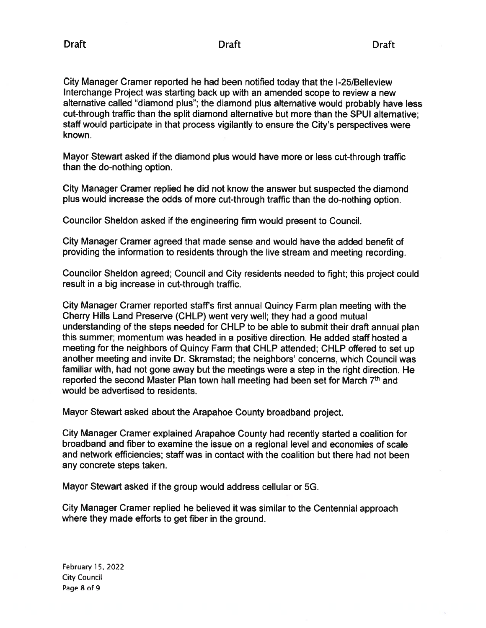City Manager Cramer reported he had been notified today that the 1-25/Belleview Interchange Project was starting back up with an amended scope to review <sup>a</sup> new alternative called "diamond <sup>p</sup>lus"; the diamond <sup>p</sup>lus alternative would probably have less cut-through traffic than the split diamond alternative but more than the SPUI alternative; staff would participate in that process vigilantly to ensure the City's perspectives were known.

Mayor Stewart asked if the diamond plus would have more or less cut-through traffic than the do-nothing option.

City Manager Cramer replied he did not know the answer but suspected the diamond plus would increase the odds of more cut-through traffic than the do-nothing option.

Councilor Sheldon asked if the engineering firm would presen<sup>t</sup> to Council.

City Manager Cramer agreed that made sense and would have the added benefit of providing the information to residents through the live stream and meeting recording.

Councilor Sheldon agreed; Council and City residents needed to fight; this project could result in <sup>a</sup> big increase in cut-through traffic.

City Manager Cramer reported staff's first annual Quincy Farm <sup>p</sup>lan meeting with the Cherry Hills Land Preserve (CHLP) went very well; they had <sup>a</sup> good mutual understanding of the steps needed for CHLP to be able to submit their draft annual <sup>p</sup>lan this summer; momentum was headed in <sup>a</sup> positive direction. He added staff hosted <sup>a</sup> meeting for the neighbors of Quincy Farm that CHLP attended; CHLP offered to set up another meeting and invite Dr. Skramstad; the neighbors' concerns, which Council was familiar with, had not gone away but the meetings were <sup>a</sup> step in the right direction. He reported the second Master Plan town hail meeting had been set for March 7th and would be advertised to residents.

Mayor Stewart asked about the Arapahoe County broadband project.

City Manager Cramer explained Arapahoe County had recently started <sup>a</sup> coalition for broadband and fiber to examine the issue on <sup>a</sup> regional level and economies of scale and network efficiencies; staff was in contact with the coalition but there had not been any concrete steps taken.

Mayor Stewart asked if the group would address cellular or 5G.

City Manager Cramer replied he believed it was similar to the Centennial approach where they made efforts to ge<sup>t</sup> fiber in the ground.

February 15, 2022 City Council Page 8 of 9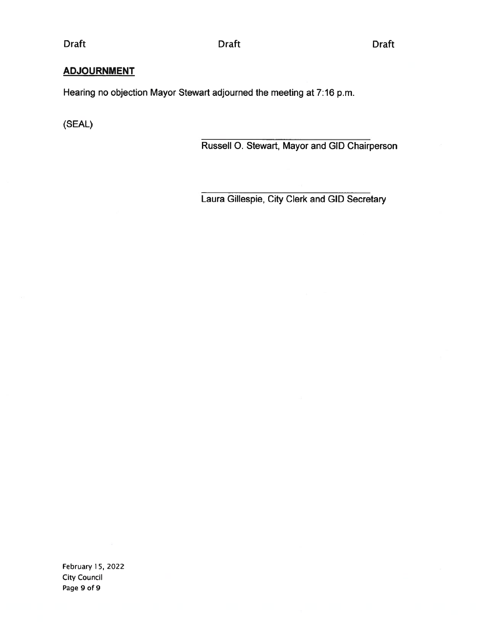## Draft Draft Draft

# **ADJOURNMENT**

Hearing no objection Mayor Stewart adjourned the meeting at 7:16 p.m.

(SEAL)

Russell 0. Stewart, Mayor and GID Chairperson

Laura Gillespie, City Clerk and GID Secretary

February 15, 2022 City Council Page 9 of 9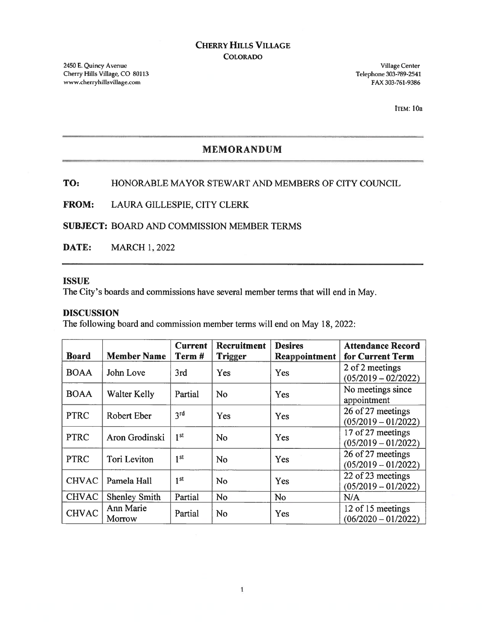## CHERRY HILLS VILLAGE COLORADO

2450 E. Quincy Avenue Village Center Village Center Village Center Village Center Cherry Hills Village, CO 80113 Cherry Hills Village, CO 80113 www.cherryhillsvillage.com FAX 303-761-9386

ITEM: lOa

## MEMORANDUM

## TO: HONORABLE MAYOR STEWART AND MEMBERS OF CITY COUNCIL

FROM: LAURA GILLESPIE, CITY CLERK

SUBJECT: BOARD AND COMMISSION MEMBER TERMS

DATE: MARCH 1, 2022

#### **ISSUE**

The City's boards and commissions have several member terms that will end in May.

#### DISCUSSION

The following board and commission member terms will end on May 18, 2022:

| <b>Board</b> | <b>Member Name</b>   | <b>Current</b><br>Term# | Recruitment<br><b>Trigger</b> | <b>Desires</b><br><b>Reappointment</b> | <b>Attendance Record</b><br>for Current Term |
|--------------|----------------------|-------------------------|-------------------------------|----------------------------------------|----------------------------------------------|
| <b>BOAA</b>  | John Love            | 3rd                     | Yes                           | Yes                                    | 2 of 2 meetings<br>$(05/2019 - 02/2022)$     |
| <b>BOAA</b>  | <b>Walter Kelly</b>  | Partial                 | No                            | Yes                                    | No meetings since<br>appointment             |
| <b>PTRC</b>  | Robert Eber          | 3 <sup>rd</sup>         | Yes                           | Yes                                    | 26 of 27 meetings<br>$(05/2019 - 01/2022)$   |
| <b>PTRC</b>  | Aron Grodinski       | 1 <sup>st</sup>         | No                            | Yes                                    | 17 of 27 meetings<br>$(05/2019 - 01/2022)$   |
| <b>PTRC</b>  | Tori Leviton         | 1 <sup>st</sup>         | <b>No</b>                     | Yes                                    | 26 of 27 meetings<br>$(05/2019 - 01/2022)$   |
| <b>CHVAC</b> | Pamela Hall          | 1 <sup>st</sup>         | No                            | Yes                                    | 22 of 23 meetings<br>$(05/2019 - 01/2022)$   |
| <b>CHVAC</b> | <b>Shenley Smith</b> | Partial                 | <b>No</b>                     | <b>No</b>                              | N/A                                          |
| <b>CHVAC</b> | Ann Marie<br>Morrow  | Partial                 | <b>No</b>                     | Yes                                    | 12 of 15 meetings<br>$(06/2020 - 01/2022)$   |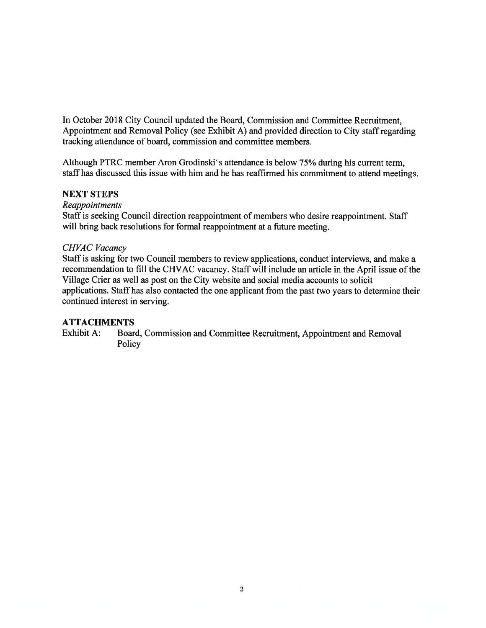In October 2018 City Council updated the Board, Commission and Committee Recruitment, Appointment and Removal Policy (see Exhibit A) and provided direction to City staff regarding tracking attendance of board, commission and committee members.

Although PTRC member Aron Grodinski's attendance is below 75% during his current term, staff has discussed this issue with him and he has reaffirmed his commitment to attend meetings.

#### NEXT STEPS

Reappointments

Staff is seeking Council direction reappointment of members who desire reappointment. Staff will bring back resolutions for formal reappointment at <sup>a</sup> future meeting.

#### CHVAC Vacancy

Staff is asking for two Council members to review applications, conduct interviews, and make <sup>a</sup> recommendation to fill the CHVAC vacancy. Staff will include an article in the April issue of the Village Crier as well as pos<sup>t</sup> on the City website and social media accounts to solicit applications. Staff has also contacted the one applicant from the pas<sup>t</sup> two years to determine their continued interest in serving.

#### **ATTACHMENTS**

Exhibit A: Board, Commission and Committee Recruitment, Appointment and Removal Policy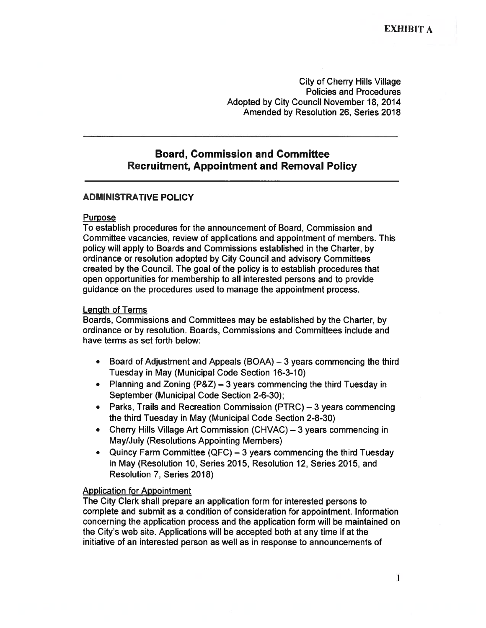City of Cherry Hills Village Policies and Procedures Adopted by City Council November 18, 2014 Amended by Resolution 26, Series 2018

## Board, Commission and Committee Recruitment, Appointment and Removal Policy

#### ADMINISTRATIVE POLICY

#### Purpose

To establish procedures for the announcement of Board, Commission and Committee vacancies, review of applications and appointment of members. This policy will apply to Boards and Commissions established in the Charter, by ordinance or resolution adopted by City Council and advisory Committees created by the Council. The goal of the policy is to establish procedures that open opportunities for membership to all interested persons and to provide guidance on the procedures used to manage the appointment process.

#### Length of Terms

Boards, Commissions and Committees may be established by the Charter, by ordinance or by resolution. Boards, Commissions and Committees include and have terms as set forth below:

- $\bullet$  Board of Adjustment and Appeals (BOAA) —3 years commencing the third Tuesday in May (Municipal Code Section 16-3-10)
- Planning and Zoning (P&Z) 3 years commencing the third Tuesday in September (Municipal Code Section 2-6-30);
- Parks, Trails and Recreation Commission (PTRC) 3 years commencing the third Tuesday in May (Municipal Code Section 2-8-30)
- Cherry Hills Village Art Commission (CHVAC) 3 years commencing in May/July (Resolutions Appointing Members)
- Quincy Farm Committee (QFC) 3 years commencing the third Tuesday in May (Resolution 10, Series 2015, Resolution 12, Series 2015, and Resolution 7, Series 2018)

#### Application for Appointment

The City Clerk shall prepare an application form for interested persons to complete and submit as <sup>a</sup> condition of consideration for appointment. Information concerning the application process and the application form will be maintained on the City's web site. Applications will be accepted both at any time if at the initiative of an interested person as well as in response to announcements of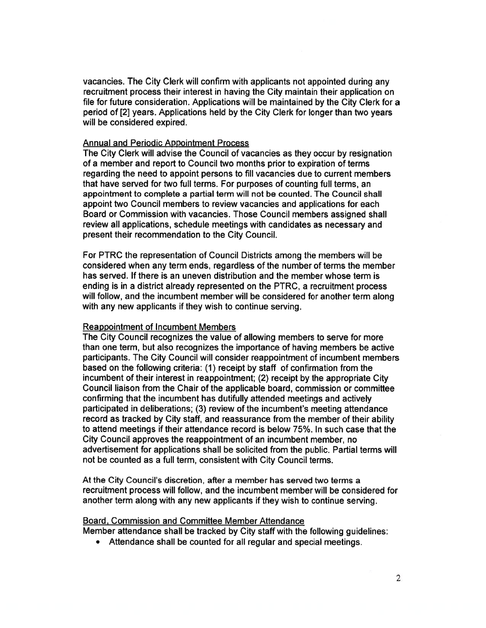vacancies. The City Clerk will confirm with applicants not appointed during any recruitment process their interest in having the City maintain their application on file for future consideration. Applications will be maintained by the City Clerk for <sup>a</sup> period of [2] years. Applications held by the City Clerk for longer than two years will be considered expired.

#### Annual and Periodic Appointment Process

The City Clerk will advise the Council of vacancies as they occur by resignation of <sup>a</sup> member and repor<sup>t</sup> to Council two months prior to expiration of terms regarding the need to appoint persons to fill vacancies due to current members that have served for two full terms. For purposes of counting full terms, an appointment to complete <sup>a</sup> partial term will not be counted. The Council shall appoint two Council members to review vacancies and applications for each Board or Commission with vacancies. Those Council members assigned shall review all applications, schedule meetings with candidates as necessary and presen<sup>t</sup> their recommendation to the City Council.

For PTRC the representation of Council Districts among the members will be considered when any term ends, regardless of the number of terms the member has served. If there is an uneven distribution and the member whose term is ending is in <sup>a</sup> district already represented on the PTRC, <sup>a</sup> recruitment process will follow, and the incumbent member will be considered for another term along with any new applicants if they wish to continue serving.

#### Reappointment of Incumbent Members

The City Council recognizes the value of allowing members to serve for more than one term, but also recognizes the importance of having members be active participants. The City Council will consider reappointment of incumbent members based on the following criteria: (1) receipt by staff of confirmation from the incumbent of their interest in reappointment; (2) receipt by the appropriate City Council liaison from the Chair of the applicable board, commission or committee confirming that the incumbent has dutifully attended meetings and actively participated in deliberations; (3) review of the incumbent's meeting attendance record as tracked by City staff, and reassurance from the member of their ability to attend meetings if their attendance record is below 75%. In such case that the City Council approves the reappointment of an incumbent member, no advertisement for applications shall be solicited from the public. Partial terms will not be counted as <sup>a</sup> full term, consistent with City Council terms.

At the City Council's discretion, after <sup>a</sup> member has served two terms <sup>a</sup> recruitment process will follow, and the incumbent member will be considered for another term along with any new applicants if they wish to continue serving.

#### Board, Commission and Committee Member Attendance

Member attendance shall be tracked by City staff with the following guidelines:

• Attendance shall be counted for all regular and special meetings.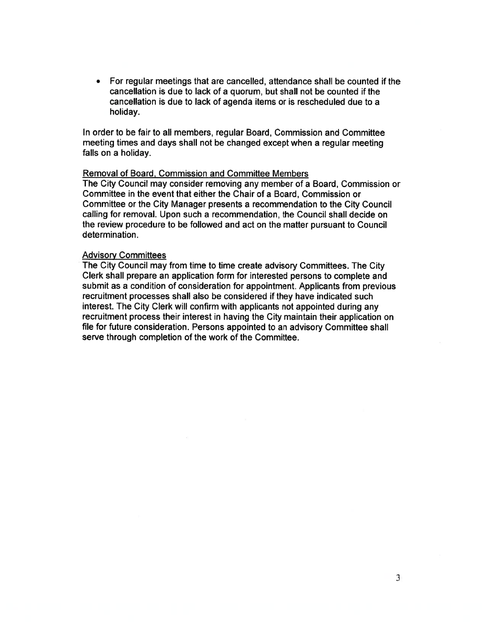• For regular meetings that are cancelled, attendance shall be counted if the cancellation is due to lack of <sup>a</sup> quorum, but shall not be counted if the cancellation is due to lack of agenda items or is rescheduled due to <sup>a</sup> holiday.

In order to be fair to all members, regular Board, Commission and Committee meeting times and days shall not be changed excep<sup>t</sup> when <sup>a</sup> regular meeting falls on <sup>a</sup> holiday.

#### Removal of Board, Commission and Committee Members

The City Council may consider removing any member of <sup>a</sup> Board, Commission or Committee in the event that either the Chair of <sup>a</sup> Board, Commission or Committee or the City Manager presents <sup>a</sup> recommendation to the City Council calling for removal. Upon such <sup>a</sup> recommendation, the Council shall decide on the review procedure to be followed and act on the matter pursuan<sup>t</sup> to Council determination.

#### **Advisory Committees**

The City Council may from time to time create advisory Committees. The City Clerk shall prepare an application form for interested persons to complete and submit as <sup>a</sup> condition of consideration for appointment. Applicants from previous recruitment processes shall also be considered if they have indicated such interest. The City Clerk will confirm with applicants not appointed during any recruitment process their interest in having the City maintain their application on file for future consideration. Persons appointed to an advisory Committee shall serve through completion of the work of the Committee.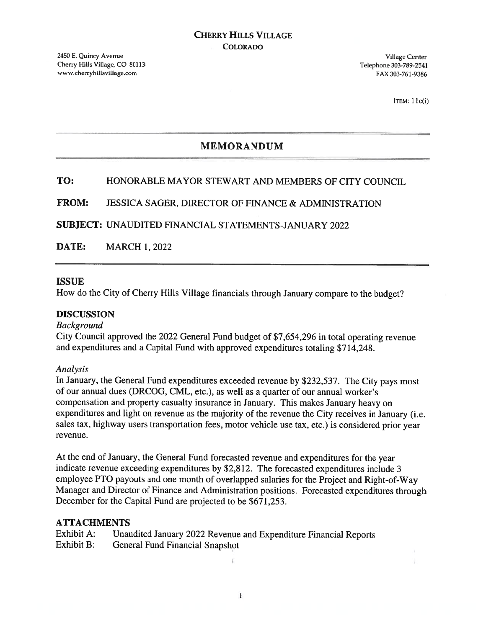ITEM:  $11c(i)$ 

# MEMORANDUM

# TO: HONORABLE MAYOR STEWART AND MEMBERS OF CITY COUNCIL

## FROM: JESSICA SAGER, DIRECTOR OF FINANCE & ADMINISTRATION

SUBJECT: UNAUDITED FINANCIAL STATEMENTS-JANUARY 2022

DATE: MARCH 1, 2022

#### ISSUE

How do the City of Cherry Hills Village financials through January compare to the budget?

#### DISCUSSION

#### Background

City Council approve<sup>d</sup> the <sup>2022</sup> General Fund budget of \$7,654,296 in total operating revenue and expenditures and <sup>a</sup> Capital Fund with approved expenditures totaling \$714,248.

#### Analysis

In January, the General Fund expenditures exceeded revenue by \$232,537. The City pays most of our annual dues (DRCOG, CML, etc.), as well as <sup>a</sup> quarter of our annual worker's compensation and property casualty insurance in January. This makes January heavy on expenditures and light on revenue as the majority of the revenue the City receives in January (i.e. sales tax, highway users transportation fees, motor vehicle use tax, etc.) is considered prior year revenue.

At the end of January, the General Fund forecasted revenue and expenditures for the year indicate revenue exceeding expenditures by \$2,812. The forecasted expenditures include <sup>3</sup> employee PTO payouts and one month of overlapped salaries for the Project and Right-of-Way Manager and Director of Finance and Administration positions. Forecasted expenditures through December for the Capital Fund are projected to be \$671,253.

#### ATTACHMENTS

| Exhibit A: | Unaudited January 2022 Revenue and Expenditure Financial Reports |
|------------|------------------------------------------------------------------|
| Exhibit B: | General Fund Financial Snapshot                                  |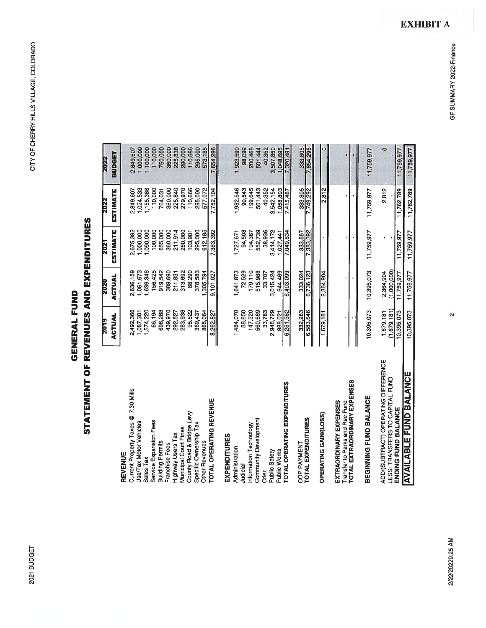# STATEMENT OF REVENUES AND EXPENDITURES STATEMENT OF REVENUES AND EXPENDITURES **GENERAL FUND** GENERAL FUND

|                                                                        | <u>SLOZ</u>               | <b>2020</b>               | <b>Z021</b>     | <b>Z022</b> | 2022       |
|------------------------------------------------------------------------|---------------------------|---------------------------|-----------------|-------------|------------|
|                                                                        | ACTUAL                    | ACTUAL                    | <b>ESTIMATE</b> | ESTIMATE    | BUDGET     |
| REVENUE                                                                |                           |                           |                 |             |            |
| Current Property Taxes @ 7.30 Mills                                    | 2,492,366                 | 2,636,159                 | 2,675,392       | 2,849,607   | 2,849,607  |
| Jse/Tax Motor Vehicles                                                 | 1,087,301                 | 1,061,673                 | 1,000,000       | 1,024,533   | 1,000,000  |
| Sales Tax                                                              | 1,574,220                 | ,639,348                  | 1,090,000       | ,155,386    | 1,100,000  |
| Service Expansion Fees                                                 | 66,194                    | 156,425                   | 100,000         | 110,000     | 110,000    |
| Building Permits                                                       | 696,288                   | 919,542                   | 655,000         | 764,031     | 750,000    |
| Franchise Fees                                                         | 439,970                   | 389,690                   | 360,000         | 360,000     | 360,000    |
| <b>Highway Users Tax</b>                                               | 292,527                   | 211,831                   | 211,914         | 225,840     | 225,838    |
| Municipal Court Fines                                                  | 283,938                   | 313,692                   | 280,000         | 279,970     | 280,000    |
| County Road & Bridge Levy                                              | 95,522                    | 88,290                    | 103,901         | 110,666     | 110,666    |
| Specific Ownership Tax                                                 | 369,437                   | 378,583                   | 295,000         | 295,000     | 295,000    |
| Other Revenues                                                         | 865,064                   | 1,305,794                 | 612,185         | 577,072     | 573,185    |
| TOTAL OPERATING REVENUE                                                | 8,262,827                 | 9,101,027                 | 383,392         | 7,752,104   | 7,654,296  |
| EXPENDITURES                                                           |                           |                           |                 |             |            |
| Administration                                                         | 1,484,070                 | 1,641,873                 | 1,727,671       | 1,982,546   | 1,923,590  |
| Judicial                                                               | 88,850                    | 72,529                    | 94,508          | 90,543      | 98,092     |
| Information Technology                                                 | 147,220                   | 179,110                   | 194,367         | 199,645     | 200,468    |
| <b>Community Development</b>                                           | 560,689                   | 515,988                   | 552,739         | 501,443     | 501,444    |
| Crier                                                                  | 33,783                    | 33,707                    | 38,936          | 40,352      | 40,352     |
| Public Safety                                                          | 2,948,729                 | 3,015,424                 | 3,414,172       | 3,542,154   | 3,507,850  |
| Public Works                                                           | 988,021                   | 944,469                   | 1,027,441       | 1,058,803   | 1,048,695  |
| TOTAL OPERATING EXPENDITURES                                           | 6,251,362                 | 6,403,099                 | 7,049,834       | 7,415,487   | 7,320,491  |
| COP PAYMENT                                                            | 332,283                   | 333,024                   | 333,557         | 333,805     | 333,805    |
| TOTAL EXPENDITURES                                                     | 6,583,646                 | 6,736,123                 | 383,392         | 749,292     | 7,654,296  |
| OPERATING GAIN/(LOSS)                                                  | 1,679,181                 | 2,364,904                 |                 | 2,812       | ۰          |
| EXTRAORDINARY EXPENSES<br>Transfer to Parks and Rec Fund               |                           |                           |                 |             |            |
| TOTAL EXTRAORDINARY EXPENSES                                           |                           |                           |                 |             |            |
| BEGINNING FUND BALANCE                                                 | 10,395,073                | 10,395,073                | 11,759,977      | 11,759,977  | 11,759,977 |
| ADD/(SUBTRACT) OPERATING DIFFERENCE<br>LESS: TRANSFERS TO CAPITAL FUND | 1,679,181                 | 2,364,904                 |                 | 2,812       | $\circ$    |
| ENDING FUND BALANCE                                                    | (1,679,181)<br>10,395,073 | (1,000,000)<br>11,759,977 | 11,759,977      | 11,762,789  | 11,759,977 |
| <b>AVAILABLE FUND BALANCE</b>                                          | 10,395,073                | 11,759,977                | 11,759,977      | 11,762,789  | 11,759,977 |

GF SUMMARY 2022-Finance

 $\boldsymbol{\alpha}$